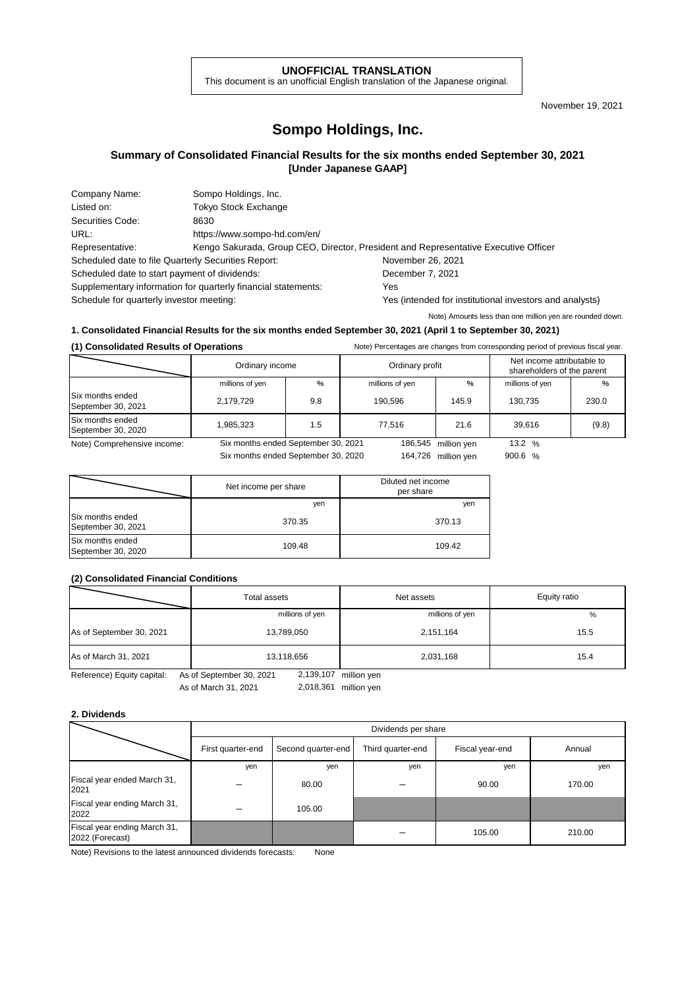#### **UNOFFICIAL TRANSLATION**

This document is an unofficial English translation of the Japanese original.

November 19, 2021

# **Sompo Holdings, Inc.**

## **Summary of Consolidated Financial Results for the six months ended September 30, 2021 [Under Japanese GAAP]**

| Company Name:                                                 | Sompo Holdings, Inc.                                                                |                                                         |  |  |
|---------------------------------------------------------------|-------------------------------------------------------------------------------------|---------------------------------------------------------|--|--|
| Listed on:                                                    | <b>Tokyo Stock Exchange</b>                                                         |                                                         |  |  |
| Securities Code:                                              | 8630                                                                                |                                                         |  |  |
| URL:                                                          | https://www.sompo-hd.com/en/                                                        |                                                         |  |  |
| Representative:                                               | Kengo Sakurada, Group CEO, Director, President and Representative Executive Officer |                                                         |  |  |
| Scheduled date to file Quarterly Securities Report:           |                                                                                     | November 26, 2021                                       |  |  |
| Scheduled date to start payment of dividends:                 |                                                                                     | December 7, 2021                                        |  |  |
| Supplementary information for quarterly financial statements: |                                                                                     | Yes                                                     |  |  |
| Schedule for quarterly investor meeting:                      |                                                                                     | Yes (intended for institutional investors and analysts) |  |  |

Note) Amounts less than one million yen are rounded down.

### **1. Consolidated Financial Results for the six months ended September 30, 2021 (April 1 to September 30, 2021)**

#### **(1) Consolidated Results of Operations** Note) Percentages are changes from corresponding period of previous fiscal year.

|                                        | Ordinary income                     |     | Ordinary profit |                     | Net income attributable to<br>shareholders of the parent |       |
|----------------------------------------|-------------------------------------|-----|-----------------|---------------------|----------------------------------------------------------|-------|
|                                        | millions of yen                     | %   | millions of yen | %                   | millions of yen                                          | %     |
| Six months ended<br>September 30, 2021 | 2,179,729                           | 9.8 | 190.596         | 145.9               | 130.735                                                  | 230.0 |
| Six months ended<br>September 30, 2020 | 1,985,323                           | 1.5 | 77.516          | 21.6                | 39.616                                                   | (9.8) |
| Note) Comprehensive income:            | Six months ended September 30, 2021 |     |                 | 186,545 million yen | 13.2 $%$                                                 |       |
|                                        | Six months ended September 30, 2020 |     | 164,726         | million ven         | 900.6 $%$                                                |       |

|                                        | Net income per share | Diluted net income<br>per share |
|----------------------------------------|----------------------|---------------------------------|
|                                        | yen                  | yen                             |
| Six months ended<br>September 30, 2021 | 370.35               | 370.13                          |
| Six months ended<br>September 30, 2020 | 109.48               | 109.42                          |

### **(2) Consolidated Financial Conditions**

|                            | Total assets                          | Net assets      | Equity ratio |
|----------------------------|---------------------------------------|-----------------|--------------|
|                            | millions of yen                       | millions of yen | %            |
| As of September 30, 2021   | 13,789,050                            | 2,151,164       | 15.5         |
| As of March 31, 2021       | 13,118,656                            | 2,031,168       | 15.4         |
| Reference) Equity capital: | 2,139,107<br>As of September 30, 2021 | million yen     |              |

ference) Equity capital: As of September 30, 2<br>As of March 31, 2021 As of March 31, 2021 2,018,361 million yen

#### **2. Dividends**

|                                                 |                   | Dividends per share |                   |                 |        |  |  |
|-------------------------------------------------|-------------------|---------------------|-------------------|-----------------|--------|--|--|
|                                                 | First quarter-end | Second quarter-end  | Third quarter-end | Fiscal year-end | Annual |  |  |
|                                                 | yen               | yen                 | yen               | yen             | yen    |  |  |
| Fiscal year ended March 31,<br>2021             |                   | 80.00               |                   | 90.00           | 170.00 |  |  |
| Fiscal year ending March 31,<br>2022            |                   | 105.00              |                   |                 |        |  |  |
| Fiscal year ending March 31,<br>2022 (Forecast) |                   |                     |                   | 105.00          | 210.00 |  |  |

Note) Revisions to the latest announced dividends forecasts: None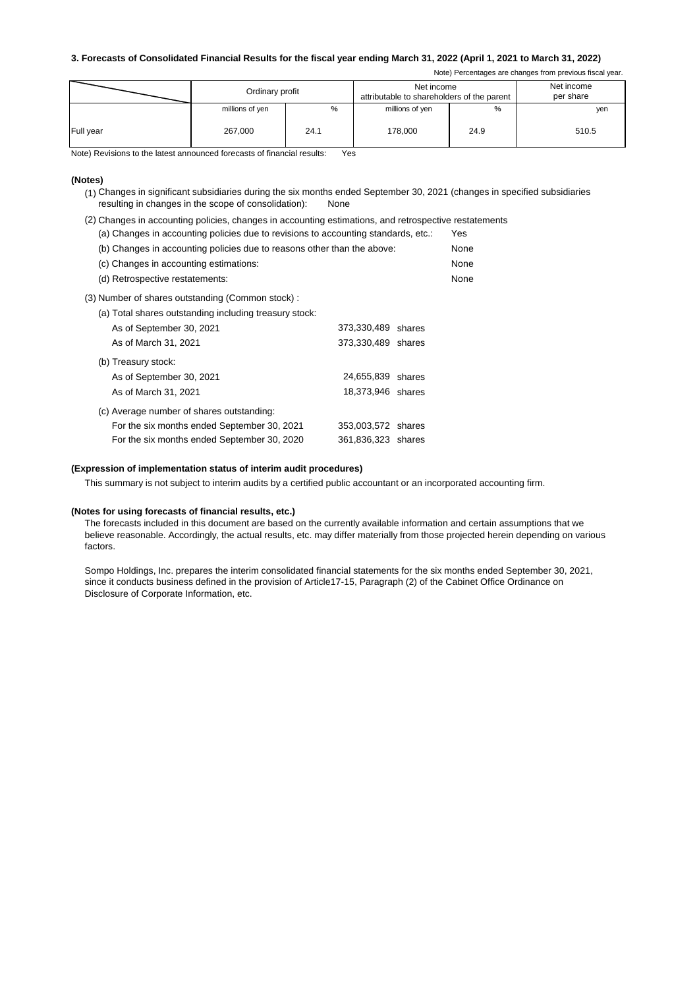#### **3. Forecasts of Consolidated Financial Results for the fiscal year ending March 31, 2022 (April 1, 2021 to March 31, 2022)**

Note) Percentages are changes from previous fiscal year.

|           | Ordinary profit |      | Net income<br>attributable to shareholders of the parent | Net income<br>per share |       |
|-----------|-----------------|------|----------------------------------------------------------|-------------------------|-------|
|           | millions of yen | %    | millions of yen                                          | %                       | yen   |
| Full year | 267.000         | 24.1 | 178,000                                                  | 24.9                    | 510.5 |

Note) Revisions to the latest announced forecasts of financial results: Yes

#### **(Notes)**

- (1) Changes in significant subsidiaries during the six months ended September 30, 2021 (changes in specified subsidiaries resulting in changes in the scope of consolidation): None
- (2) Changes in accounting policies, changes in accounting estimations, and retrospective restatements
- (a) Changes in accounting policies due to revisions to accounting standards, etc.: Yes (b) Changes in accounting policies due to reasons other than the above: None (c) Changes in accounting estimations: None (d) Retrospective restatements: None (3) Number of shares outstanding (Common stock) : (a) Total shares outstanding including treasury stock: As of September 30, 2021 373,330,489 shares

| AS OF SEPIGHIDEL SU, ZUZ I                  | 313333409 SILLES   |  |
|---------------------------------------------|--------------------|--|
| As of March 31, 2021                        | 373,330,489 shares |  |
| (b) Treasury stock:                         |                    |  |
| As of September 30, 2021                    | 24,655,839 shares  |  |
| As of March 31, 2021                        | 18,373,946 shares  |  |
| (c) Average number of shares outstanding:   |                    |  |
| For the six months ended September 30, 2021 | 353,003,572 shares |  |
| For the six months ended September 30, 2020 | 361,836,323 shares |  |

#### **(Expression of implementation status of interim audit procedures)**

This summary is not subject to interim audits by a certified public accountant or an incorporated accounting firm.

#### **(Notes for using forecasts of financial results, etc.)**

The forecasts included in this document are based on the currently available information and certain assumptions that we believe reasonable. Accordingly, the actual results, etc. may differ materially from those projected herein depending on various factors.

Sompo Holdings, Inc. prepares the interim consolidated financial statements for the six months ended September 30, 2021, since it conducts business defined in the provision of Article17-15, Paragraph (2) of the Cabinet Office Ordinance on Disclosure of Corporate Information, etc.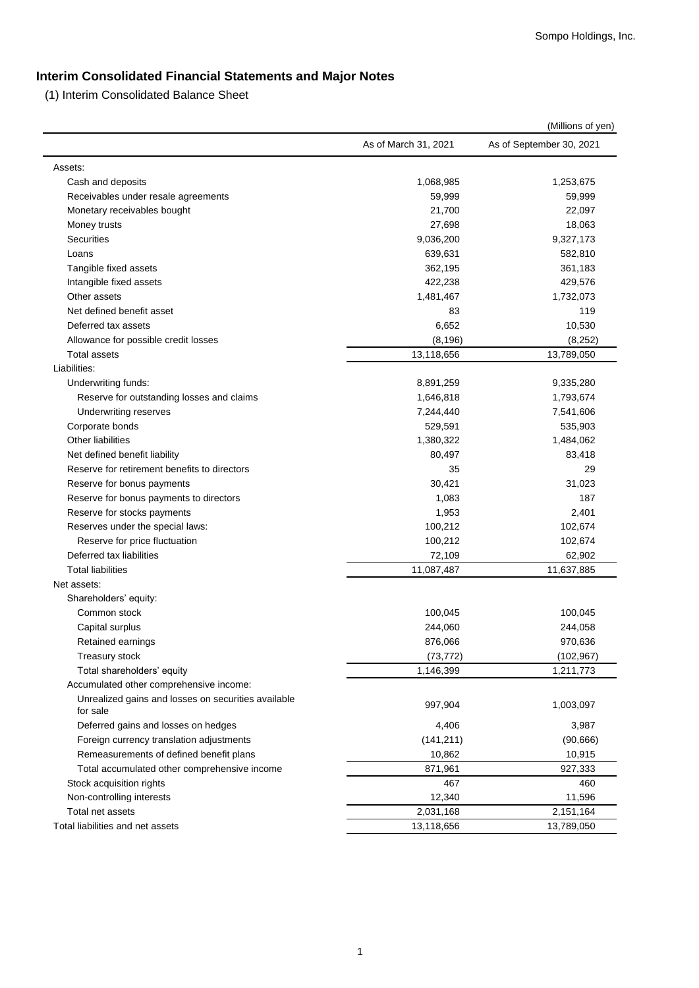# **Interim Consolidated Financial Statements and Major Notes**

(1) Interim Consolidated Balance Sheet

|                                                     |                      | (Millions of yen)        |
|-----------------------------------------------------|----------------------|--------------------------|
|                                                     | As of March 31, 2021 | As of September 30, 2021 |
| Assets:                                             |                      |                          |
| Cash and deposits                                   | 1,068,985            | 1,253,675                |
| Receivables under resale agreements                 | 59,999               | 59,999                   |
| Monetary receivables bought                         | 21,700               | 22,097                   |
| Money trusts                                        | 27,698               | 18,063                   |
| <b>Securities</b>                                   | 9,036,200            | 9,327,173                |
| Loans                                               | 639,631              | 582,810                  |
| Tangible fixed assets                               | 362,195              | 361,183                  |
| Intangible fixed assets                             | 422,238              | 429,576                  |
| Other assets                                        | 1,481,467            | 1,732,073                |
| Net defined benefit asset                           | 83                   | 119                      |
| Deferred tax assets                                 | 6,652                | 10,530                   |
| Allowance for possible credit losses                | (8, 196)             | (8, 252)                 |
| <b>Total assets</b>                                 | 13,118,656           | 13,789,050               |
| Liabilities:                                        |                      |                          |
| Underwriting funds:                                 | 8,891,259            | 9,335,280                |
| Reserve for outstanding losses and claims           | 1,646,818            | 1,793,674                |
| Underwriting reserves                               | 7,244,440            | 7,541,606                |
| Corporate bonds                                     | 529,591              | 535,903                  |
| <b>Other liabilities</b>                            | 1,380,322            | 1,484,062                |
| Net defined benefit liability                       | 80,497               | 83,418                   |
| Reserve for retirement benefits to directors        | 35                   | 29                       |
| Reserve for bonus payments                          | 30,421               | 31,023                   |
| Reserve for bonus payments to directors             | 1,083                | 187                      |
| Reserve for stocks payments                         | 1,953                | 2,401                    |
| Reserves under the special laws:                    | 100,212              | 102,674                  |
| Reserve for price fluctuation                       | 100,212              | 102,674                  |
| Deferred tax liabilities                            | 72,109               | 62,902                   |
| <b>Total liabilities</b>                            | 11,087,487           | 11,637,885               |
| Net assets:                                         |                      |                          |
| Shareholders' equity:                               |                      |                          |
| Common stock                                        | 100,045              | 100,045                  |
| Capital surplus                                     | 244,060              | 244,058                  |
| Retained earnings                                   | 876,066              | 970,636                  |
| Treasury stock                                      | (73, 772)            | (102, 967)               |
| Total shareholders' equity                          | 1,146,399            | 1,211,773                |
| Accumulated other comprehensive income:             |                      |                          |
| Unrealized gains and losses on securities available |                      |                          |
| for sale                                            | 997,904              | 1,003,097                |
| Deferred gains and losses on hedges                 | 4,406                | 3,987                    |
| Foreign currency translation adjustments            | (141, 211)           | (90, 666)                |
| Remeasurements of defined benefit plans             | 10,862               | 10,915                   |
| Total accumulated other comprehensive income        | 871,961              | 927,333                  |
| Stock acquisition rights                            | 467                  | 460                      |
| Non-controlling interests                           | 12,340               | 11,596                   |
| Total net assets                                    | 2,031,168            | 2,151,164                |
| Total liabilities and net assets                    | 13,118,656           | 13,789,050               |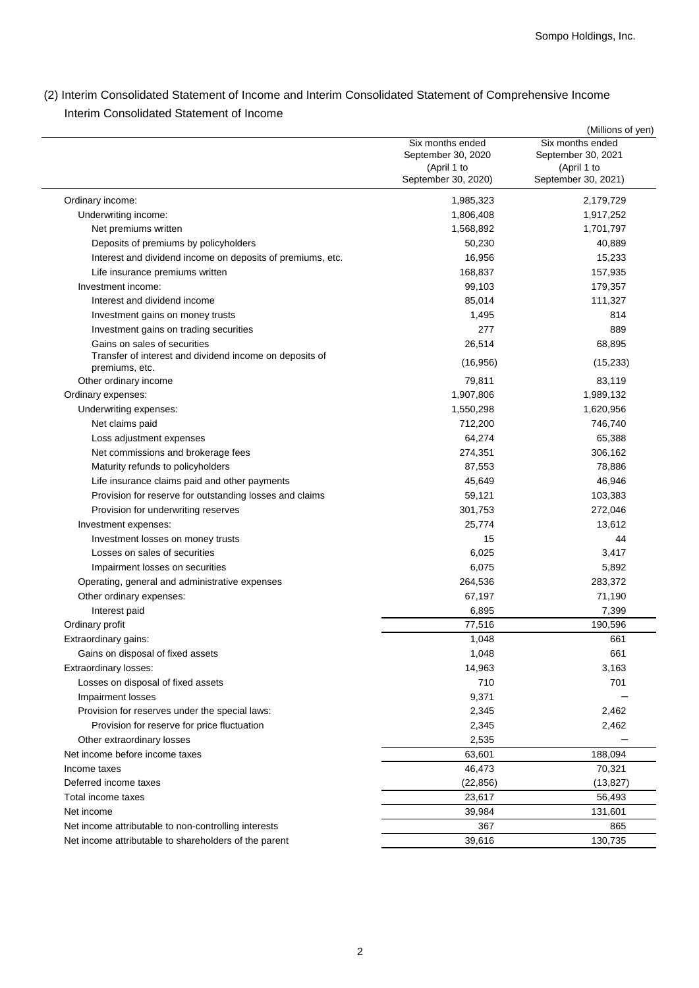(2) Interim Consolidated Statement of Income and Interim Consolidated Statement of Comprehensive Income Interim Consolidated Statement of Income

|                                                            |                     | (Millions of yen)   |
|------------------------------------------------------------|---------------------|---------------------|
|                                                            | Six months ended    | Six months ended    |
|                                                            | September 30, 2020  | September 30, 2021  |
|                                                            | (April 1 to         | (April 1 to         |
|                                                            | September 30, 2020) | September 30, 2021) |
| Ordinary income:                                           | 1,985,323           | 2,179,729           |
| Underwriting income:                                       | 1,806,408           | 1,917,252           |
| Net premiums written                                       | 1,568,892           | 1,701,797           |
| Deposits of premiums by policyholders                      | 50,230              | 40,889              |
| Interest and dividend income on deposits of premiums, etc. | 16,956              | 15,233              |
| Life insurance premiums written                            | 168,837             | 157,935             |
| Investment income:                                         | 99,103              | 179,357             |
| Interest and dividend income                               | 85,014              | 111,327             |
| Investment gains on money trusts                           | 1,495               | 814                 |
| Investment gains on trading securities                     | 277                 | 889                 |
| Gains on sales of securities                               | 26,514              | 68,895              |
| Transfer of interest and dividend income on deposits of    |                     |                     |
| premiums, etc.                                             | (16, 956)           | (15, 233)           |
| Other ordinary income                                      | 79,811              | 83,119              |
| Ordinary expenses:                                         | 1,907,806           | 1,989,132           |
| Underwriting expenses:                                     | 1,550,298           | 1,620,956           |
| Net claims paid                                            | 712,200             | 746,740             |
| Loss adjustment expenses                                   | 64,274              | 65,388              |
| Net commissions and brokerage fees                         | 274,351             | 306,162             |
| Maturity refunds to policyholders                          | 87,553              | 78,886              |
| Life insurance claims paid and other payments              | 45,649              | 46,946              |
| Provision for reserve for outstanding losses and claims    | 59,121              | 103,383             |
| Provision for underwriting reserves                        | 301,753             | 272,046             |
| Investment expenses:                                       | 25,774              | 13,612              |
| Investment losses on money trusts                          | 15                  | 44                  |
| Losses on sales of securities                              | 6,025               | 3,417               |
| Impairment losses on securities                            | 6,075               | 5,892               |
| Operating, general and administrative expenses             | 264,536             | 283,372             |
| Other ordinary expenses:                                   | 67,197              | 71,190              |
| Interest paid                                              | 6,895               | 7,399               |
|                                                            |                     | 190,596             |
| Ordinary profit                                            | 77,516              | 661                 |
| Extraordinary gains:                                       | 1,048               |                     |
| Gains on disposal of fixed assets                          | 1,048               | 661                 |
| Extraordinary losses:                                      | 14,963              | 3,163               |
| Losses on disposal of fixed assets                         | 710                 | 701                 |
| Impairment losses                                          | 9,371               |                     |
| Provision for reserves under the special laws:             | 2,345               | 2,462               |
| Provision for reserve for price fluctuation                | 2,345               | 2,462               |
| Other extraordinary losses                                 | 2,535               |                     |
| Net income before income taxes                             | 63,601              | 188,094             |
| Income taxes                                               | 46,473              | 70,321              |
| Deferred income taxes                                      | (22, 856)           | (13, 827)           |
| Total income taxes                                         | 23,617              | 56,493              |
| Net income                                                 | 39,984              | 131,601             |
| Net income attributable to non-controlling interests       | 367                 | 865                 |
| Net income attributable to shareholders of the parent      | 39,616              | 130,735             |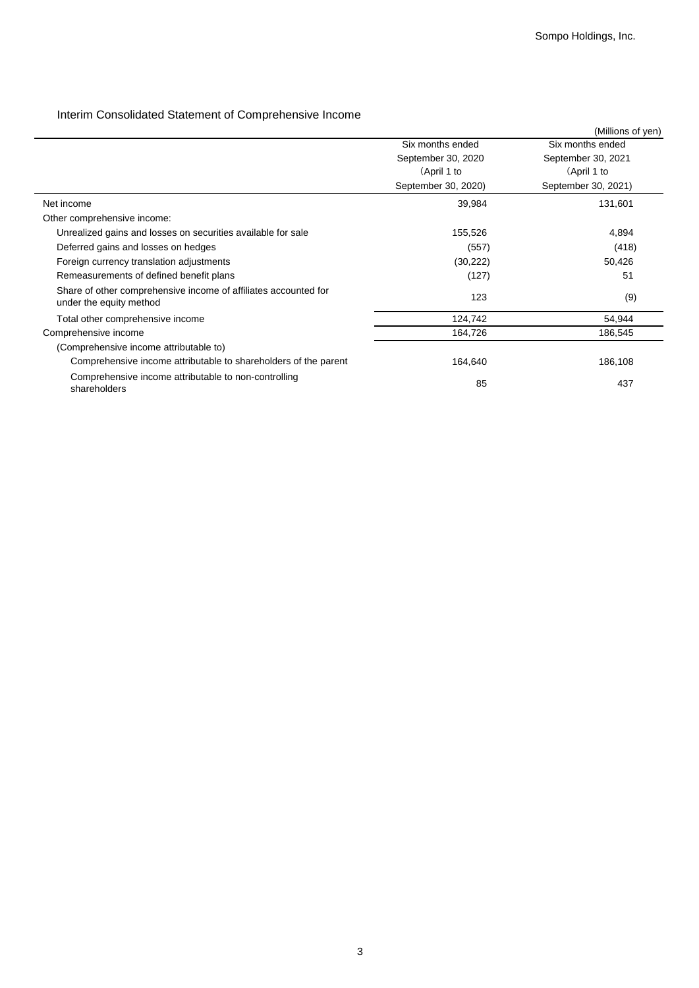# Interim Consolidated Statement of Comprehensive Income

|                                                                                            |                     | (Millions of yen)   |
|--------------------------------------------------------------------------------------------|---------------------|---------------------|
|                                                                                            | Six months ended    | Six months ended    |
|                                                                                            | September 30, 2020  | September 30, 2021  |
|                                                                                            | (April 1 to         | (April 1 to         |
|                                                                                            | September 30, 2020) | September 30, 2021) |
| Net income                                                                                 | 39,984              | 131,601             |
| Other comprehensive income:                                                                |                     |                     |
| Unrealized gains and losses on securities available for sale                               | 155,526             | 4,894               |
| Deferred gains and losses on hedges                                                        | (557)               | (418)               |
| Foreign currency translation adjustments                                                   | (30, 222)           | 50,426              |
| Remeasurements of defined benefit plans                                                    | (127)               | 51                  |
| Share of other comprehensive income of affiliates accounted for<br>under the equity method | 123                 | (9)                 |
| Total other comprehensive income                                                           | 124,742             | 54,944              |
| Comprehensive income                                                                       | 164,726             | 186,545             |
| (Comprehensive income attributable to)                                                     |                     |                     |
| Comprehensive income attributable to shareholders of the parent                            | 164,640             | 186,108             |
| Comprehensive income attributable to non-controlling<br>shareholders                       | 85                  | 437                 |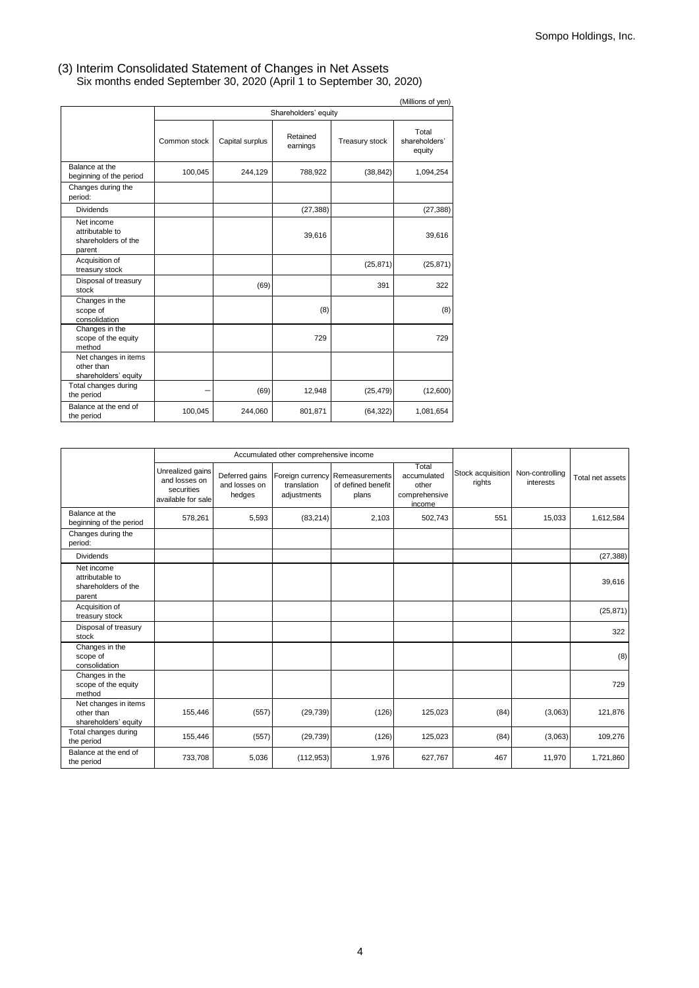### Six months ended September 30, 2020 (April 1 to September 30, 2020) (3) Interim Consolidated Statement of Changes in Net Assets

|                                                                |              |                 |                      |                | (Millions of yen)                |
|----------------------------------------------------------------|--------------|-----------------|----------------------|----------------|----------------------------------|
|                                                                |              |                 | Shareholders' equity |                |                                  |
|                                                                | Common stock | Capital surplus | Retained<br>earnings | Treasury stock | Total<br>shareholders'<br>equity |
| Balance at the<br>beginning of the period                      | 100,045      | 244,129         | 788,922              | (38, 842)      | 1,094,254                        |
| Changes during the<br>period:                                  |              |                 |                      |                |                                  |
| <b>Dividends</b>                                               |              |                 | (27, 388)            |                | (27, 388)                        |
| Net income<br>attributable to<br>shareholders of the<br>parent |              |                 | 39,616               |                | 39,616                           |
| Acquisition of<br>treasury stock                               |              |                 |                      | (25, 871)      | (25, 871)                        |
| Disposal of treasury<br>stock                                  |              | (69)            |                      | 391            | 322                              |
| Changes in the<br>scope of<br>consolidation                    |              |                 | (8)                  |                | (8)                              |
| Changes in the<br>scope of the equity<br>method                |              |                 | 729                  |                | 729                              |
| Net changes in items<br>other than<br>shareholders' equity     |              |                 |                      |                |                                  |
| Total changes during<br>the period                             |              | (69)            | 12,948               | (25, 479)      | (12,600)                         |
| Balance at the end of<br>the period                            | 100,045      | 244,060         | 801,871              | (64, 322)      | 1,081,654                        |

|                                                                |                                                                       |                                           | Accumulated other comprehensive income |                                                                |                                                          |                             |                              |                  |
|----------------------------------------------------------------|-----------------------------------------------------------------------|-------------------------------------------|----------------------------------------|----------------------------------------------------------------|----------------------------------------------------------|-----------------------------|------------------------------|------------------|
|                                                                | Unrealized gains<br>and losses on<br>securities<br>available for sale | Deferred gains<br>and losses on<br>hedges | translation<br>adjustments             | Foreign currency Remeasurements<br>of defined benefit<br>plans | Total<br>accumulated<br>other<br>comprehensive<br>income | Stock acquisition<br>rights | Non-controlling<br>interests | Total net assets |
| Balance at the<br>beginning of the period                      | 578,261                                                               | 5,593                                     | (83, 214)                              | 2,103                                                          | 502,743                                                  | 551                         | 15,033                       | 1,612,584        |
| Changes during the<br>period:                                  |                                                                       |                                           |                                        |                                                                |                                                          |                             |                              |                  |
| <b>Dividends</b>                                               |                                                                       |                                           |                                        |                                                                |                                                          |                             |                              | (27, 388)        |
| Net income<br>attributable to<br>shareholders of the<br>parent |                                                                       |                                           |                                        |                                                                |                                                          |                             |                              | 39,616           |
| Acquisition of<br>treasury stock                               |                                                                       |                                           |                                        |                                                                |                                                          |                             |                              | (25, 871)        |
| Disposal of treasury<br>stock                                  |                                                                       |                                           |                                        |                                                                |                                                          |                             |                              | 322              |
| Changes in the<br>scope of<br>consolidation                    |                                                                       |                                           |                                        |                                                                |                                                          |                             |                              | (8)              |
| Changes in the<br>scope of the equity<br>method                |                                                                       |                                           |                                        |                                                                |                                                          |                             |                              | 729              |
| Net changes in items<br>other than<br>shareholders' equity     | 155,446                                                               | (557)                                     | (29, 739)                              | (126)                                                          | 125,023                                                  | (84)                        | (3,063)                      | 121,876          |
| Total changes during<br>the period                             | 155,446                                                               | (557)                                     | (29, 739)                              | (126)                                                          | 125,023                                                  | (84)                        | (3,063)                      | 109,276          |
| Balance at the end of<br>the period                            | 733,708                                                               | 5,036                                     | (112, 953)                             | 1,976                                                          | 627,767                                                  | 467                         | 11,970                       | 1,721,860        |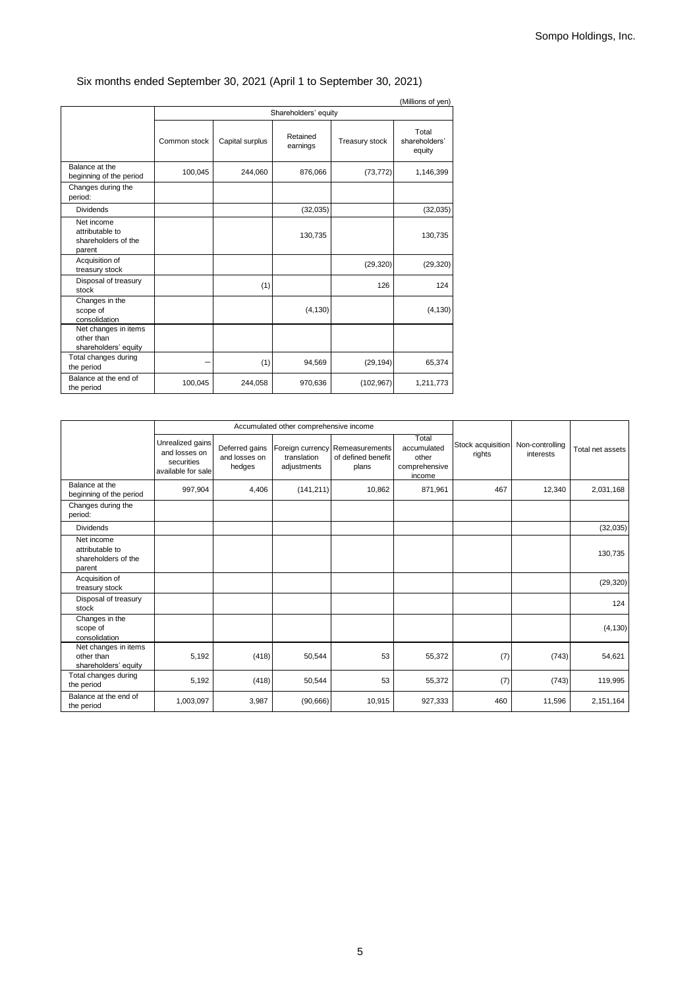# Six months ended September 30, 2021 (April 1 to September 30, 2021)

|                                                                | (Millions of yen)    |                 |                      |                |                                  |  |  |
|----------------------------------------------------------------|----------------------|-----------------|----------------------|----------------|----------------------------------|--|--|
|                                                                | Shareholders' equity |                 |                      |                |                                  |  |  |
|                                                                | Common stock         | Capital surplus | Retained<br>earnings | Treasury stock | Total<br>shareholders'<br>equity |  |  |
| Balance at the<br>beginning of the period                      | 100,045              | 244,060         | 876,066              | (73, 772)      | 1,146,399                        |  |  |
| Changes during the<br>period:                                  |                      |                 |                      |                |                                  |  |  |
| <b>Dividends</b>                                               |                      |                 | (32,035)             |                | (32,035)                         |  |  |
| Net income<br>attributable to<br>shareholders of the<br>parent |                      |                 | 130,735              |                | 130,735                          |  |  |
| Acquisition of<br>treasury stock                               |                      |                 |                      | (29, 320)      | (29, 320)                        |  |  |
| Disposal of treasury<br>stock                                  |                      | (1)             |                      | 126            | 124                              |  |  |
| Changes in the<br>scope of<br>consolidation                    |                      |                 | (4, 130)             |                | (4, 130)                         |  |  |
| Net changes in items<br>other than<br>shareholders' equity     |                      |                 |                      |                |                                  |  |  |
| Total changes during<br>the period                             |                      | (1)             | 94,569               | (29, 194)      | 65,374                           |  |  |
| Balance at the end of<br>the period                            | 100,045              | 244,058         | 970,636              | (102, 967)     | 1,211,773                        |  |  |

|                                                                |                                                                       |                                           | Accumulated other comprehensive income |                                                                |                                                          |                             |                              |                  |
|----------------------------------------------------------------|-----------------------------------------------------------------------|-------------------------------------------|----------------------------------------|----------------------------------------------------------------|----------------------------------------------------------|-----------------------------|------------------------------|------------------|
|                                                                | Unrealized gains<br>and losses on<br>securities<br>available for sale | Deferred gains<br>and losses on<br>hedges | translation<br>adjustments             | Foreign currency Remeasurements<br>of defined benefit<br>plans | Total<br>accumulated<br>other<br>comprehensive<br>income | Stock acquisition<br>rights | Non-controlling<br>interests | Total net assets |
| Balance at the<br>beginning of the period                      | 997,904                                                               | 4,406                                     | (141, 211)                             | 10,862                                                         | 871,961                                                  | 467                         | 12,340                       | 2,031,168        |
| Changes during the<br>period:                                  |                                                                       |                                           |                                        |                                                                |                                                          |                             |                              |                  |
| <b>Dividends</b>                                               |                                                                       |                                           |                                        |                                                                |                                                          |                             |                              | (32,035)         |
| Net income<br>attributable to<br>shareholders of the<br>parent |                                                                       |                                           |                                        |                                                                |                                                          |                             |                              | 130,735          |
| Acquisition of<br>treasury stock                               |                                                                       |                                           |                                        |                                                                |                                                          |                             |                              | (29, 320)        |
| Disposal of treasury<br>stock                                  |                                                                       |                                           |                                        |                                                                |                                                          |                             |                              | 124              |
| Changes in the<br>scope of<br>consolidation                    |                                                                       |                                           |                                        |                                                                |                                                          |                             |                              | (4, 130)         |
| Net changes in items<br>other than<br>shareholders' equity     | 5,192                                                                 | (418)                                     | 50,544                                 | 53                                                             | 55,372                                                   | (7)                         | (743)                        | 54,621           |
| Total changes during<br>the period                             | 5,192                                                                 | (418)                                     | 50,544                                 | 53                                                             | 55,372                                                   | (7)                         | (743)                        | 119,995          |
| Balance at the end of<br>the period                            | 1,003,097                                                             | 3,987                                     | (90, 666)                              | 10,915                                                         | 927,333                                                  | 460                         | 11,596                       | 2,151,164        |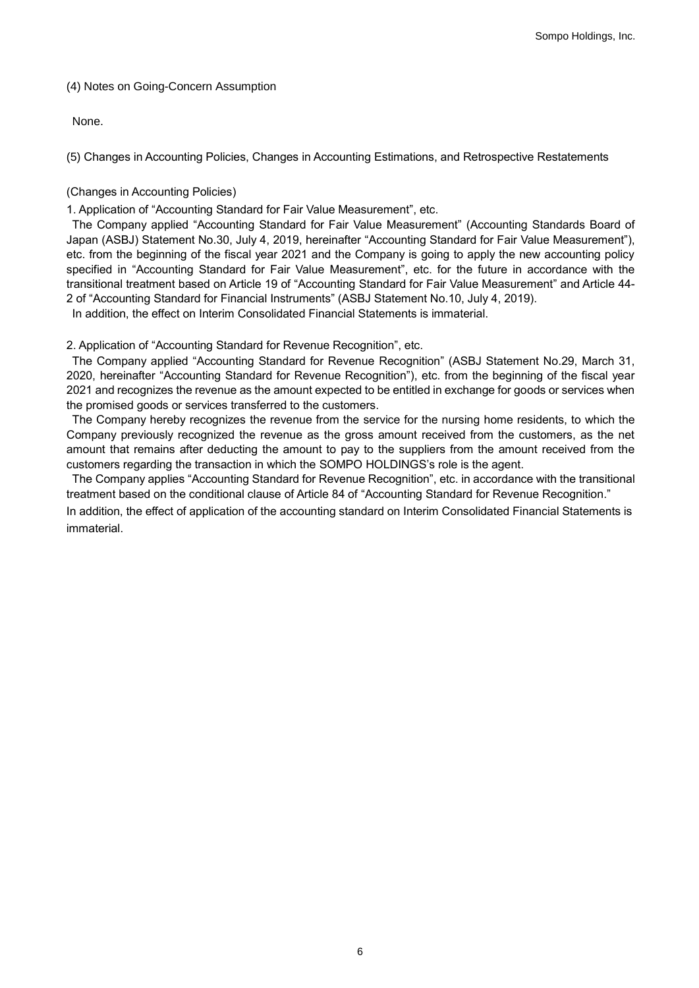# (4) Notes on Going-Concern Assumption

None.

(5) Changes in Accounting Policies, Changes in Accounting Estimations, and Retrospective Restatements

# (Changes in Accounting Policies)

1. Application of "Accounting Standard for Fair Value Measurement", etc.

The Company applied "Accounting Standard for Fair Value Measurement" (Accounting Standards Board of Japan (ASBJ) Statement No.30, July 4, 2019, hereinafter "Accounting Standard for Fair Value Measurement"), etc. from the beginning of the fiscal year 2021 and the Company is going to apply the new accounting policy specified in "Accounting Standard for Fair Value Measurement", etc. for the future in accordance with the transitional treatment based on Article 19 of "Accounting Standard for Fair Value Measurement" and Article 44- 2 of "Accounting Standard for Financial Instruments" (ASBJ Statement No.10, July 4, 2019).

In addition, the effect on Interim Consolidated Financial Statements is immaterial.

2. Application of "Accounting Standard for Revenue Recognition", etc.

The Company applied "Accounting Standard for Revenue Recognition" (ASBJ Statement No.29, March 31, 2020, hereinafter "Accounting Standard for Revenue Recognition"), etc. from the beginning of the fiscal year 2021 and recognizes the revenue as the amount expected to be entitled in exchange for goods or services when the promised goods or services transferred to the customers.

The Company hereby recognizes the revenue from the service for the nursing home residents, to which the Company previously recognized the revenue as the gross amount received from the customers, as the net amount that remains after deducting the amount to pay to the suppliers from the amount received from the customers regarding the transaction in which the SOMPO HOLDINGS's role is the agent.

The Company applies "Accounting Standard for Revenue Recognition", etc. in accordance with the transitional treatment based on the conditional clause of Article 84 of "Accounting Standard for Revenue Recognition."

In addition, the effect of application of the accounting standard on Interim Consolidated Financial Statements is immaterial.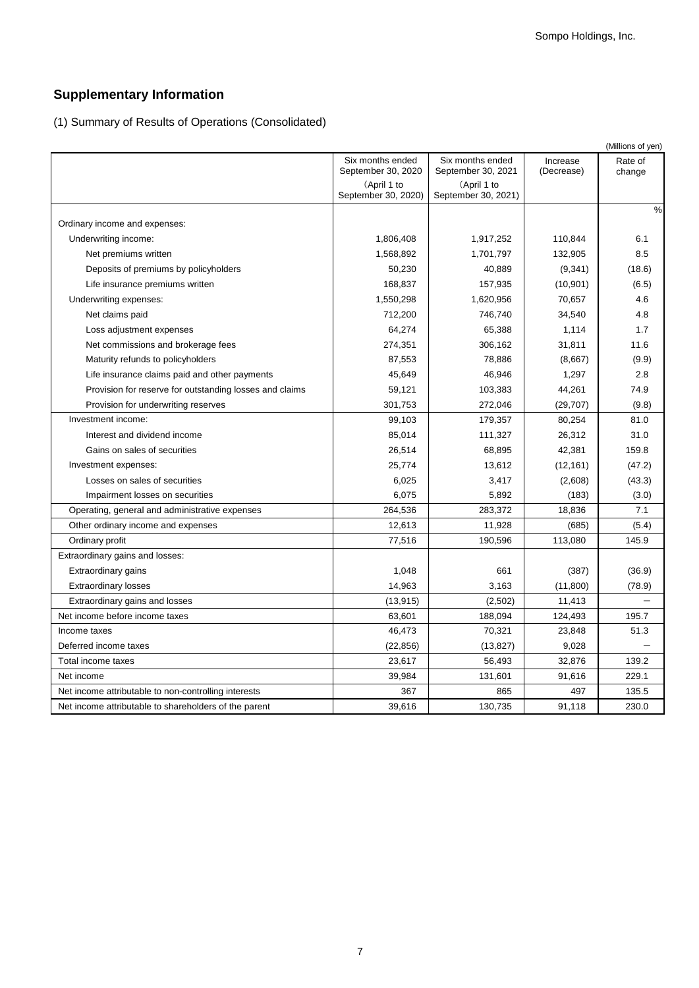# **Supplementary Information**

(1) Summary of Results of Operations (Consolidated)

|                                                         |                                        |                                        |                        | (Millions of yen) |
|---------------------------------------------------------|----------------------------------------|----------------------------------------|------------------------|-------------------|
|                                                         | Six months ended<br>September 30, 2020 | Six months ended<br>September 30, 2021 | Increase<br>(Decrease) | Rate of<br>change |
|                                                         | (April 1 to                            | (April 1 to                            |                        |                   |
|                                                         | September 30, 2020)                    | September 30, 2021)                    |                        |                   |
| Ordinary income and expenses:                           |                                        |                                        |                        | %                 |
| Underwriting income:                                    | 1,806,408                              | 1,917,252                              | 110.844                | 6.1               |
| Net premiums written                                    | 1,568,892                              | 1,701,797                              | 132,905                | 8.5               |
| Deposits of premiums by policyholders                   | 50,230                                 | 40,889                                 | (9,341)                | (18.6)            |
| Life insurance premiums written                         | 168,837                                | 157,935                                | (10, 901)              | (6.5)             |
| Underwriting expenses:                                  | 1,550,298                              | 1,620,956                              | 70,657                 | 4.6               |
| Net claims paid                                         | 712,200                                | 746,740                                | 34,540                 | 4.8               |
| Loss adjustment expenses                                | 64,274                                 | 65,388                                 | 1,114                  | 1.7               |
| Net commissions and brokerage fees                      | 274,351                                | 306,162                                | 31,811                 | 11.6              |
| Maturity refunds to policyholders                       | 87,553                                 | 78,886                                 | (8,667)                | (9.9)             |
| Life insurance claims paid and other payments           | 45,649                                 | 46,946                                 | 1,297                  | 2.8               |
| Provision for reserve for outstanding losses and claims | 59,121                                 | 103,383                                | 44,261                 | 74.9              |
| Provision for underwriting reserves                     | 301,753                                | 272,046                                | (29, 707)              | (9.8)             |
| Investment income:                                      | 99,103                                 | 179,357                                | 80,254                 | 81.0              |
| Interest and dividend income                            | 85,014                                 | 111,327                                | 26,312                 | 31.0              |
| Gains on sales of securities                            | 26,514                                 | 68,895                                 | 42,381                 | 159.8             |
| Investment expenses:                                    | 25,774                                 | 13,612                                 | (12, 161)              | (47.2)            |
| Losses on sales of securities                           | 6,025                                  | 3,417                                  | (2,608)                | (43.3)            |
| Impairment losses on securities                         | 6,075                                  | 5,892                                  | (183)                  | (3.0)             |
| Operating, general and administrative expenses          | 264,536                                | 283,372                                | 18,836                 | 7.1               |
| Other ordinary income and expenses                      | 12,613                                 | 11,928                                 | (685)                  | (5.4)             |
| Ordinary profit                                         | 77,516                                 | 190,596                                | 113,080                | 145.9             |
| Extraordinary gains and losses:                         |                                        |                                        |                        |                   |
| Extraordinary gains                                     | 1,048                                  | 661                                    | (387)                  | (36.9)            |
| <b>Extraordinary losses</b>                             | 14,963                                 | 3,163                                  | (11,800)               | (78.9)            |
| Extraordinary gains and losses                          | (13, 915)                              | (2,502)                                | 11,413                 |                   |
| Net income before income taxes                          | 63,601                                 | 188,094                                | 124,493                | 195.7             |
| Income taxes                                            | 46,473                                 | 70,321                                 | 23,848                 | 51.3              |
| Deferred income taxes                                   | (22, 856)                              | (13, 827)                              | 9,028                  |                   |
| Total income taxes                                      | 23,617                                 | 56,493                                 | 32,876                 | 139.2             |
| Net income                                              | 39,984                                 | 131,601                                | 91,616                 | 229.1             |
| Net income attributable to non-controlling interests    | 367                                    | 865                                    | 497                    | 135.5             |
| Net income attributable to shareholders of the parent   | 39,616                                 | 130,735                                | 91,118                 | 230.0             |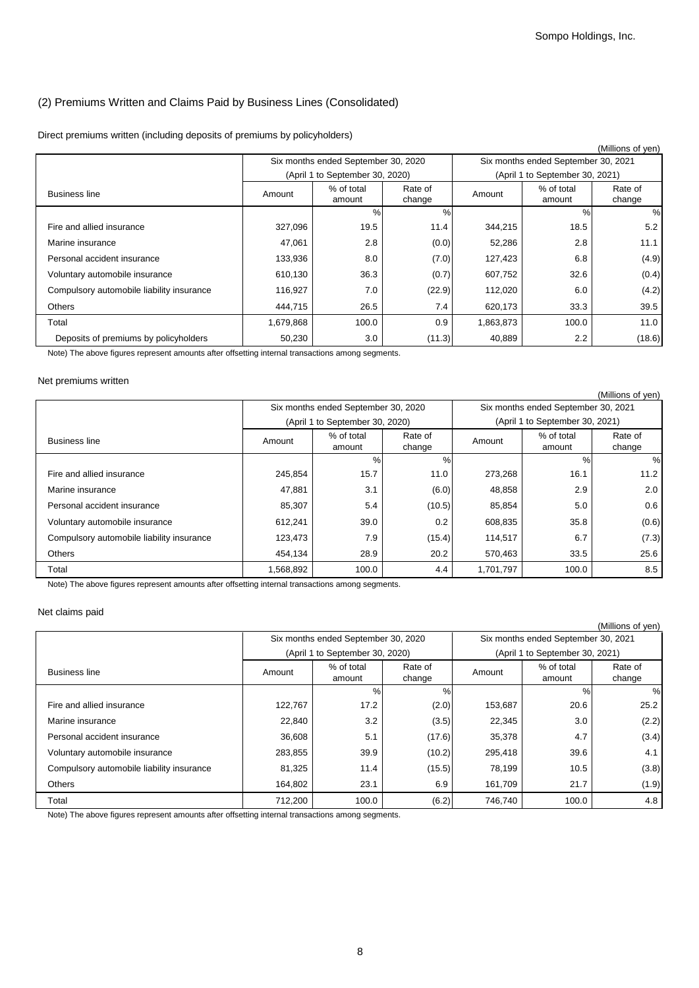# (2) Premiums Written and Claims Paid by Business Lines (Consolidated)

### Direct premiums written (including deposits of premiums by policyholders)

|                                           |           |                                     |                   |                                     |                                 | (Millions of yen) |
|-------------------------------------------|-----------|-------------------------------------|-------------------|-------------------------------------|---------------------------------|-------------------|
|                                           |           | Six months ended September 30, 2020 |                   | Six months ended September 30, 2021 |                                 |                   |
|                                           |           | (April 1 to September 30, 2020)     |                   |                                     | (April 1 to September 30, 2021) |                   |
| <b>Business line</b>                      | Amount    | % of total<br>amount                | Rate of<br>change | Amount                              | % of total<br>amount            | Rate of<br>change |
|                                           |           | $\%$                                | %                 |                                     | $\%$                            | %                 |
| Fire and allied insurance                 | 327,096   | 19.5                                | 11.4              | 344,215                             | 18.5                            | 5.2               |
| Marine insurance                          | 47,061    | 2.8                                 | (0.0)             | 52,286                              | 2.8                             | 11.1              |
| Personal accident insurance               | 133,936   | 8.0                                 | (7.0)             | 127,423                             | 6.8                             | (4.9)             |
| Voluntary automobile insurance            | 610,130   | 36.3                                | (0.7)             | 607,752                             | 32.6                            | (0.4)             |
| Compulsory automobile liability insurance | 116,927   | 7.0                                 | (22.9)            | 112,020                             | 6.0                             | (4.2)             |
| <b>Others</b>                             | 444,715   | 26.5                                | 7.4               | 620,173                             | 33.3                            | 39.5              |
| Total                                     | 1,679,868 | 100.0                               | 0.9               | 1,863,873                           | 100.0                           | 11.0              |
| Deposits of premiums by policyholders     | 50,230    | 3.0                                 | (11.3)            | 40,889                              | 2.2                             | (18.6)            |

Note) The above figures represent amounts after offsetting internal transactions among segments.

#### Net premiums written

|                                           |           |                                     |                   |                                     |                                 | (Millions of yen) |
|-------------------------------------------|-----------|-------------------------------------|-------------------|-------------------------------------|---------------------------------|-------------------|
|                                           |           | Six months ended September 30, 2020 |                   | Six months ended September 30, 2021 |                                 |                   |
|                                           |           | (April 1 to September 30, 2020)     |                   |                                     | (April 1 to September 30, 2021) |                   |
| <b>Business line</b>                      | Amount    | % of total<br>amount                | Rate of<br>change | Amount                              | % of total<br>amount            | Rate of<br>change |
|                                           |           | %                                   | %                 |                                     | $\%$                            | %                 |
| Fire and allied insurance                 | 245,854   | 15.7                                | 11.0              | 273,268                             | 16.1                            | 11.2              |
| Marine insurance                          | 47,881    | 3.1                                 | (6.0)             | 48,858                              | 2.9                             | 2.0               |
| Personal accident insurance               | 85,307    | 5.4                                 | (10.5)            | 85,854                              | 5.0                             | 0.6               |
| Voluntary automobile insurance            | 612,241   | 39.0                                | 0.2               | 608,835                             | 35.8                            | (0.6)             |
| Compulsory automobile liability insurance | 123,473   | 7.9                                 | (15.4)            | 114,517                             | 6.7                             | (7.3)             |
| <b>Others</b>                             | 454,134   | 28.9                                | 20.2              | 570,463                             | 33.5                            | 25.6              |
| Total                                     | 1,568,892 | 100.0                               | 4.4               | 1,701,797                           | 100.0                           | 8.5               |

Note) The above figures represent amounts after offsetting internal transactions among segments.

### Net claims paid

|                                           |         |                                     |                   |         |                                     | (Millions of yen) |  |
|-------------------------------------------|---------|-------------------------------------|-------------------|---------|-------------------------------------|-------------------|--|
|                                           |         | Six months ended September 30, 2020 |                   |         | Six months ended September 30, 2021 |                   |  |
|                                           |         | (April 1 to September 30, 2020)     |                   |         | (April 1 to September 30, 2021)     |                   |  |
| <b>Business line</b>                      | Amount  | % of total<br>amount                | Rate of<br>change | Amount  | % of total<br>amount                | Rate of<br>change |  |
|                                           |         | %                                   | %                 |         | $\%$                                | %                 |  |
| Fire and allied insurance                 | 122,767 | 17.2                                | (2.0)             | 153,687 | 20.6                                | 25.2              |  |
| Marine insurance                          | 22,840  | 3.2                                 | (3.5)             | 22,345  | 3.0                                 | (2.2)             |  |
| Personal accident insurance               | 36,608  | 5.1                                 | (17.6)            | 35,378  | 4.7                                 | (3.4)             |  |
| Voluntary automobile insurance            | 283,855 | 39.9                                | (10.2)            | 295,418 | 39.6                                | 4.1               |  |
| Compulsory automobile liability insurance | 81,325  | 11.4                                | (15.5)            | 78,199  | 10.5                                | (3.8)             |  |
| <b>Others</b>                             | 164,802 | 23.1                                | 6.9               | 161,709 | 21.7                                | (1.9)             |  |
| Total                                     | 712,200 | 100.0                               | (6.2)             | 746.740 | 100.0                               | 4.8               |  |

Note) The above figures represent amounts after offsetting internal transactions among segments.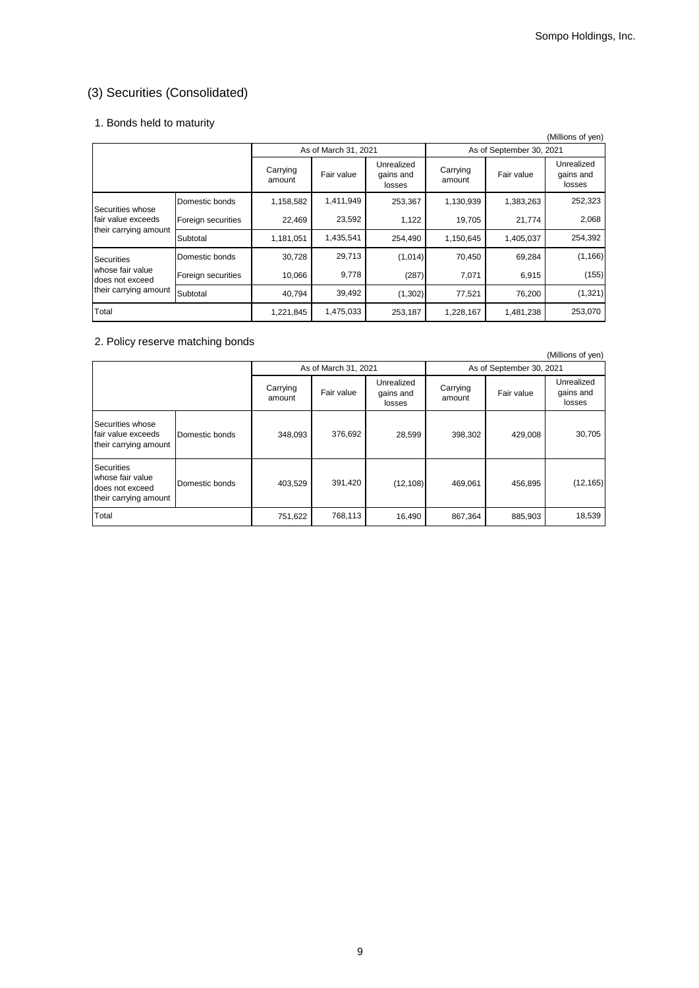# (3) Securities (Consolidated)

# 1. Bonds held to maturity

|                                     |                    |                    |                      |                                   |                    |                          | (Millions of yen)                 |
|-------------------------------------|--------------------|--------------------|----------------------|-----------------------------------|--------------------|--------------------------|-----------------------------------|
|                                     |                    |                    | As of March 31, 2021 |                                   |                    | As of September 30, 2021 |                                   |
|                                     |                    | Carrying<br>amount | Fair value           | Unrealized<br>gains and<br>losses | Carrying<br>amount | Fair value               | Unrealized<br>gains and<br>losses |
| Securities whose                    | Domestic bonds     | 1,158,582          | 1,411,949            | 253,367                           | 1,130,939          | 1,383,263                | 252,323                           |
| fair value exceeds                  | Foreign securities | 22,469             | 23,592               | 1,122                             | 19,705             | 21,774                   | 2,068                             |
| their carrying amount               | Subtotal           | 1,181,051          | 1,435,541            | 254,490                           | 1,150,645          | 1,405,037                | 254,392                           |
| <b>Securities</b>                   | Domestic bonds     | 30,728             | 29,713               | (1,014)                           | 70,450             | 69,284                   | (1, 166)                          |
| whose fair value<br>does not exceed | Foreign securities | 10,066             | 9,778                | (287)                             | 7,071              | 6,915                    | (155)                             |
| their carrying amount               | Subtotal           | 40,794             | 39,492               | (1,302)                           | 77,521             | 76,200                   | (1, 321)                          |
| Total                               |                    | 1,221,845          | 1,475,033            | 253,187                           | 1,228,167          | 1,481,238                | 253,070                           |

# 2. Policy reserve matching bonds

|                                                                                   |                |                    |                      |                                   |                    |                          | (Millions of yen)                 |  |
|-----------------------------------------------------------------------------------|----------------|--------------------|----------------------|-----------------------------------|--------------------|--------------------------|-----------------------------------|--|
|                                                                                   |                |                    | As of March 31, 2021 |                                   |                    | As of September 30, 2021 |                                   |  |
|                                                                                   |                | Carrying<br>amount | Fair value           | Unrealized<br>gains and<br>losses | Carrying<br>amount | Fair value               | Unrealized<br>gains and<br>losses |  |
| Securities whose<br>fair value exceeds<br>their carrying amount                   | Domestic bonds | 348,093            | 376,692              | 28,599                            | 398,302            | 429,008                  | 30,705                            |  |
| <b>Securities</b><br>whose fair value<br>does not exceed<br>their carrying amount | Domestic bonds | 403.529            | 391,420              | (12, 108)                         | 469.061            | 456.895                  | (12, 165)                         |  |
| Total                                                                             |                | 751,622            | 768,113              | 16,490                            | 867,364            | 885,903                  | 18,539                            |  |